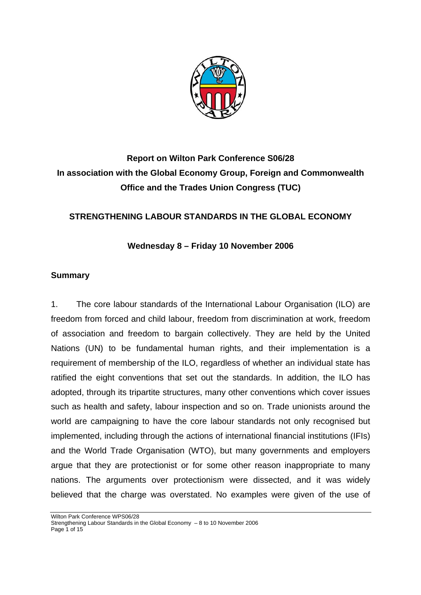

# **Report on Wilton Park Conference S06/28 In association with the Global Economy Group, Foreign and Commonwealth Office and the Trades Union Congress (TUC)**

## **STRENGTHENING LABOUR STANDARDS IN THE GLOBAL ECONOMY**

**Wednesday 8 – Friday 10 November 2006** 

### **Summary**

1. The core labour standards of the International Labour Organisation (ILO) are freedom from forced and child labour, freedom from discrimination at work, freedom of association and freedom to bargain collectively. They are held by the United Nations (UN) to be fundamental human rights, and their implementation is a requirement of membership of the ILO, regardless of whether an individual state has ratified the eight conventions that set out the standards. In addition, the ILO has adopted, through its tripartite structures, many other conventions which cover issues such as health and safety, labour inspection and so on. Trade unionists around the world are campaigning to have the core labour standards not only recognised but implemented, including through the actions of international financial institutions (IFIs) and the World Trade Organisation (WTO), but many governments and employers argue that they are protectionist or for some other reason inappropriate to many nations. The arguments over protectionism were dissected, and it was widely believed that the charge was overstated. No examples were given of the use of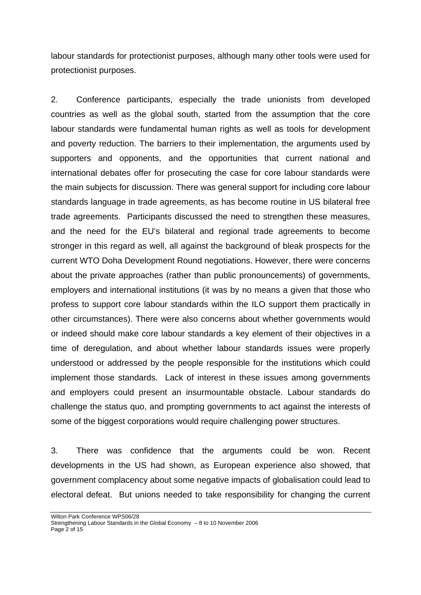labour standards for protectionist purposes, although many other tools were used for protectionist purposes.

2. Conference participants, especially the trade unionists from developed countries as well as the global south, started from the assumption that the core labour standards were fundamental human rights as well as tools for development and poverty reduction. The barriers to their implementation, the arguments used by supporters and opponents, and the opportunities that current national and international debates offer for prosecuting the case for core labour standards were the main subjects for discussion. There was general support for including core labour standards language in trade agreements, as has become routine in US bilateral free trade agreements. Participants discussed the need to strengthen these measures, and the need for the EU's bilateral and regional trade agreements to become stronger in this regard as well, all against the background of bleak prospects for the current WTO Doha Development Round negotiations. However, there were concerns about the private approaches (rather than public pronouncements) of governments, employers and international institutions (it was by no means a given that those who profess to support core labour standards within the ILO support them practically in other circumstances). There were also concerns about whether governments would or indeed should make core labour standards a key element of their objectives in a time of deregulation, and about whether labour standards issues were properly understood or addressed by the people responsible for the institutions which could implement those standards. Lack of interest in these issues among governments and employers could present an insurmountable obstacle. Labour standards do challenge the status quo, and prompting governments to act against the interests of some of the biggest corporations would require challenging power structures.

3. There was confidence that the arguments could be won. Recent developments in the US had shown, as European experience also showed, that government complacency about some negative impacts of globalisation could lead to electoral defeat. But unions needed to take responsibility for changing the current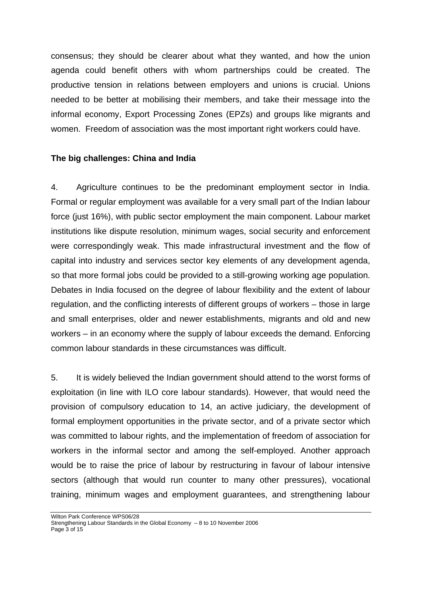consensus; they should be clearer about what they wanted, and how the union agenda could benefit others with whom partnerships could be created. The productive tension in relations between employers and unions is crucial. Unions needed to be better at mobilising their members, and take their message into the informal economy, Export Processing Zones (EPZs) and groups like migrants and women. Freedom of association was the most important right workers could have.

#### **The big challenges: China and India**

4. Agriculture continues to be the predominant employment sector in India. Formal or regular employment was available for a very small part of the Indian labour force (just 16%), with public sector employment the main component. Labour market institutions like dispute resolution, minimum wages, social security and enforcement were correspondingly weak. This made infrastructural investment and the flow of capital into industry and services sector key elements of any development agenda, so that more formal jobs could be provided to a still-growing working age population. Debates in India focused on the degree of labour flexibility and the extent of labour regulation, and the conflicting interests of different groups of workers – those in large and small enterprises, older and newer establishments, migrants and old and new workers – in an economy where the supply of labour exceeds the demand. Enforcing common labour standards in these circumstances was difficult.

5. It is widely believed the Indian government should attend to the worst forms of exploitation (in line with ILO core labour standards). However, that would need the provision of compulsory education to 14, an active judiciary, the development of formal employment opportunities in the private sector, and of a private sector which was committed to labour rights, and the implementation of freedom of association for workers in the informal sector and among the self-employed. Another approach would be to raise the price of labour by restructuring in favour of labour intensive sectors (although that would run counter to many other pressures), vocational training, minimum wages and employment guarantees, and strengthening labour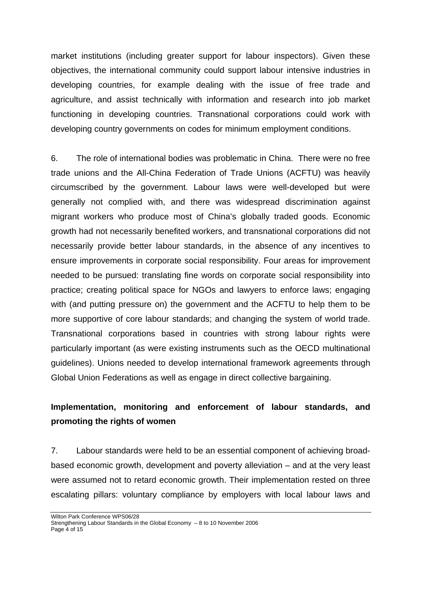market institutions (including greater support for labour inspectors). Given these objectives, the international community could support labour intensive industries in developing countries, for example dealing with the issue of free trade and agriculture, and assist technically with information and research into job market functioning in developing countries. Transnational corporations could work with developing country governments on codes for minimum employment conditions.

6. The role of international bodies was problematic in China. There were no free trade unions and the All-China Federation of Trade Unions (ACFTU) was heavily circumscribed by the government. Labour laws were well-developed but were generally not complied with, and there was widespread discrimination against migrant workers who produce most of China's globally traded goods. Economic growth had not necessarily benefited workers, and transnational corporations did not necessarily provide better labour standards, in the absence of any incentives to ensure improvements in corporate social responsibility. Four areas for improvement needed to be pursued: translating fine words on corporate social responsibility into practice; creating political space for NGOs and lawyers to enforce laws; engaging with (and putting pressure on) the government and the ACFTU to help them to be more supportive of core labour standards; and changing the system of world trade. Transnational corporations based in countries with strong labour rights were particularly important (as were existing instruments such as the OECD multinational guidelines). Unions needed to develop international framework agreements through Global Union Federations as well as engage in direct collective bargaining.

## **Implementation, monitoring and enforcement of labour standards, and promoting the rights of women**

7. Labour standards were held to be an essential component of achieving broadbased economic growth, development and poverty alleviation – and at the very least were assumed not to retard economic growth. Their implementation rested on three escalating pillars: voluntary compliance by employers with local labour laws and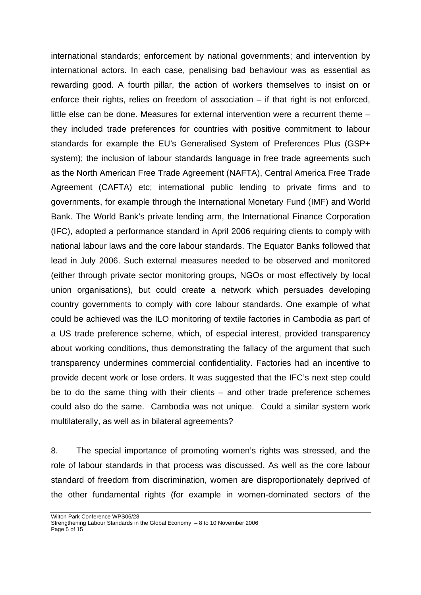international standards; enforcement by national governments; and intervention by international actors. In each case, penalising bad behaviour was as essential as rewarding good. A fourth pillar, the action of workers themselves to insist on or enforce their rights, relies on freedom of association – if that right is not enforced, little else can be done. Measures for external intervention were a recurrent theme – they included trade preferences for countries with positive commitment to labour standards for example the EU's Generalised System of Preferences Plus (GSP+ system); the inclusion of labour standards language in free trade agreements such as the North American Free Trade Agreement (NAFTA), Central America Free Trade Agreement (CAFTA) etc; international public lending to private firms and to governments, for example through the International Monetary Fund (IMF) and World Bank. The World Bank's private lending arm, the International Finance Corporation (IFC), adopted a performance standard in April 2006 requiring clients to comply with national labour laws and the core labour standards. The Equator Banks followed that lead in July 2006. Such external measures needed to be observed and monitored (either through private sector monitoring groups, NGOs or most effectively by local union organisations), but could create a network which persuades developing country governments to comply with core labour standards. One example of what could be achieved was the ILO monitoring of textile factories in Cambodia as part of a US trade preference scheme, which, of especial interest, provided transparency about working conditions, thus demonstrating the fallacy of the argument that such transparency undermines commercial confidentiality. Factories had an incentive to provide decent work or lose orders. It was suggested that the IFC's next step could be to do the same thing with their clients – and other trade preference schemes could also do the same. Cambodia was not unique. Could a similar system work multilaterally, as well as in bilateral agreements?

8. The special importance of promoting women's rights was stressed, and the role of labour standards in that process was discussed. As well as the core labour standard of freedom from discrimination, women are disproportionately deprived of the other fundamental rights (for example in women-dominated sectors of the

Strengthening Labour Standards in the Global Economy – 8 to 10 November 2006 Page 5 of 15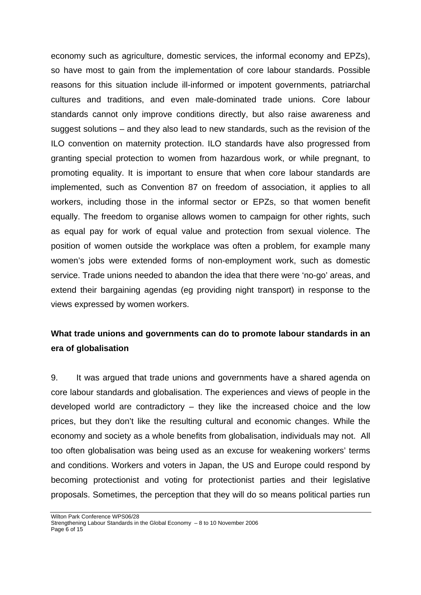economy such as agriculture, domestic services, the informal economy and EPZs), so have most to gain from the implementation of core labour standards. Possible reasons for this situation include ill-informed or impotent governments, patriarchal cultures and traditions, and even male-dominated trade unions. Core labour standards cannot only improve conditions directly, but also raise awareness and suggest solutions – and they also lead to new standards, such as the revision of the ILO convention on maternity protection. ILO standards have also progressed from granting special protection to women from hazardous work, or while pregnant, to promoting equality. It is important to ensure that when core labour standards are implemented, such as Convention 87 on freedom of association, it applies to all workers, including those in the informal sector or EPZs, so that women benefit equally. The freedom to organise allows women to campaign for other rights, such as equal pay for work of equal value and protection from sexual violence. The position of women outside the workplace was often a problem, for example many women's jobs were extended forms of non-employment work, such as domestic service. Trade unions needed to abandon the idea that there were 'no-go' areas, and extend their bargaining agendas (eg providing night transport) in response to the views expressed by women workers.

## **What trade unions and governments can do to promote labour standards in an era of globalisation**

9. It was argued that trade unions and governments have a shared agenda on core labour standards and globalisation. The experiences and views of people in the developed world are contradictory – they like the increased choice and the low prices, but they don't like the resulting cultural and economic changes. While the economy and society as a whole benefits from globalisation, individuals may not. All too often globalisation was being used as an excuse for weakening workers' terms and conditions. Workers and voters in Japan, the US and Europe could respond by becoming protectionist and voting for protectionist parties and their legislative proposals. Sometimes, the perception that they will do so means political parties run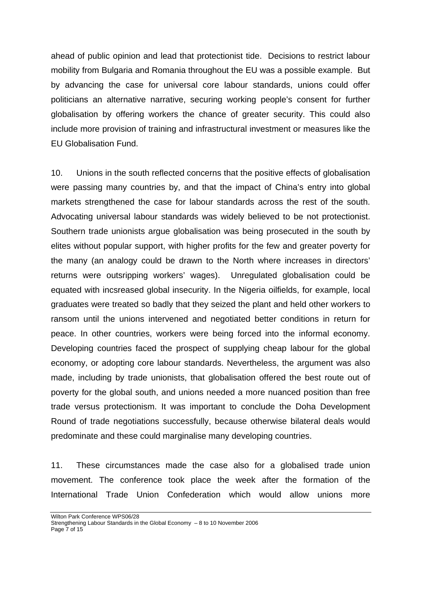ahead of public opinion and lead that protectionist tide. Decisions to restrict labour mobility from Bulgaria and Romania throughout the EU was a possible example. But by advancing the case for universal core labour standards, unions could offer politicians an alternative narrative, securing working people's consent for further globalisation by offering workers the chance of greater security. This could also include more provision of training and infrastructural investment or measures like the EU Globalisation Fund.

10. Unions in the south reflected concerns that the positive effects of globalisation were passing many countries by, and that the impact of China's entry into global markets strengthened the case for labour standards across the rest of the south. Advocating universal labour standards was widely believed to be not protectionist. Southern trade unionists argue globalisation was being prosecuted in the south by elites without popular support, with higher profits for the few and greater poverty for the many (an analogy could be drawn to the North where increases in directors' returns were outsripping workers' wages). Unregulated globalisation could be equated with incsreased global insecurity. In the Nigeria oilfields, for example, local graduates were treated so badly that they seized the plant and held other workers to ransom until the unions intervened and negotiated better conditions in return for peace. In other countries, workers were being forced into the informal economy. Developing countries faced the prospect of supplying cheap labour for the global economy, or adopting core labour standards. Nevertheless, the argument was also made, including by trade unionists, that globalisation offered the best route out of poverty for the global south, and unions needed a more nuanced position than free trade versus protectionism. It was important to conclude the Doha Development Round of trade negotiations successfully, because otherwise bilateral deals would predominate and these could marginalise many developing countries.

11. These circumstances made the case also for a globalised trade union movement. The conference took place the week after the formation of the International Trade Union Confederation which would allow unions more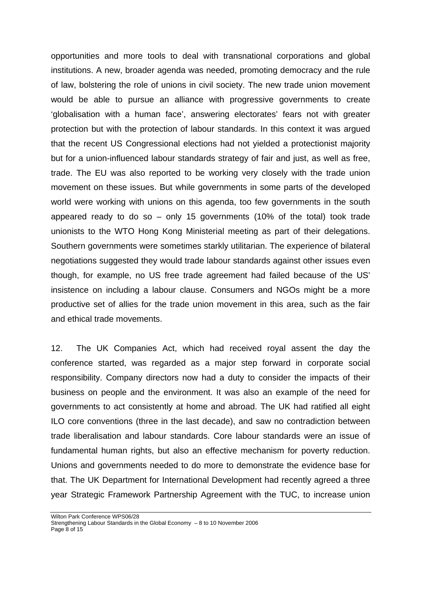opportunities and more tools to deal with transnational corporations and global institutions. A new, broader agenda was needed, promoting democracy and the rule of law, bolstering the role of unions in civil society. The new trade union movement would be able to pursue an alliance with progressive governments to create 'globalisation with a human face', answering electorates' fears not with greater protection but with the protection of labour standards. In this context it was argued that the recent US Congressional elections had not yielded a protectionist majority but for a union-influenced labour standards strategy of fair and just, as well as free, trade. The EU was also reported to be working very closely with the trade union movement on these issues. But while governments in some parts of the developed world were working with unions on this agenda, too few governments in the south appeared ready to do so  $-$  only 15 governments (10% of the total) took trade unionists to the WTO Hong Kong Ministerial meeting as part of their delegations. Southern governments were sometimes starkly utilitarian. The experience of bilateral negotiations suggested they would trade labour standards against other issues even though, for example, no US free trade agreement had failed because of the US' insistence on including a labour clause. Consumers and NGOs might be a more productive set of allies for the trade union movement in this area, such as the fair and ethical trade movements.

12. The UK Companies Act, which had received royal assent the day the conference started, was regarded as a major step forward in corporate social responsibility. Company directors now had a duty to consider the impacts of their business on people and the environment. It was also an example of the need for governments to act consistently at home and abroad. The UK had ratified all eight ILO core conventions (three in the last decade), and saw no contradiction between trade liberalisation and labour standards. Core labour standards were an issue of fundamental human rights, but also an effective mechanism for poverty reduction. Unions and governments needed to do more to demonstrate the evidence base for that. The UK Department for International Development had recently agreed a three year Strategic Framework Partnership Agreement with the TUC, to increase union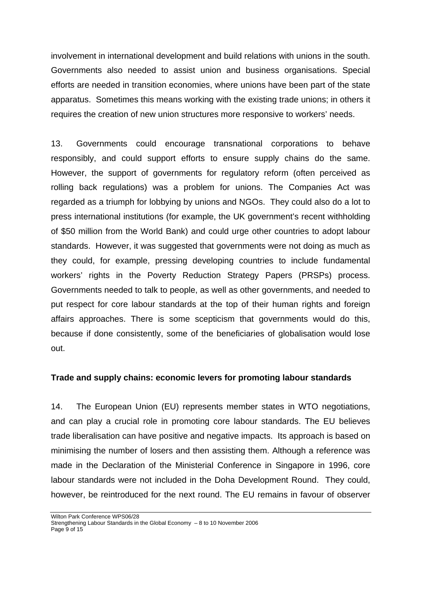involvement in international development and build relations with unions in the south. Governments also needed to assist union and business organisations. Special efforts are needed in transition economies, where unions have been part of the state apparatus. Sometimes this means working with the existing trade unions; in others it requires the creation of new union structures more responsive to workers' needs.

13. Governments could encourage transnational corporations to behave responsibly, and could support efforts to ensure supply chains do the same. However, the support of governments for regulatory reform (often perceived as rolling back regulations) was a problem for unions. The Companies Act was regarded as a triumph for lobbying by unions and NGOs. They could also do a lot to press international institutions (for example, the UK government's recent withholding of \$50 million from the World Bank) and could urge other countries to adopt labour standards. However, it was suggested that governments were not doing as much as they could, for example, pressing developing countries to include fundamental workers' rights in the Poverty Reduction Strategy Papers (PRSPs) process. Governments needed to talk to people, as well as other governments, and needed to put respect for core labour standards at the top of their human rights and foreign affairs approaches. There is some scepticism that governments would do this, because if done consistently, some of the beneficiaries of globalisation would lose out.

#### **Trade and supply chains: economic levers for promoting labour standards**

14. The European Union (EU) represents member states in WTO negotiations, and can play a crucial role in promoting core labour standards. The EU believes trade liberalisation can have positive and negative impacts. Its approach is based on minimising the number of losers and then assisting them. Although a reference was made in the Declaration of the Ministerial Conference in Singapore in 1996, core labour standards were not included in the Doha Development Round. They could, however, be reintroduced for the next round. The EU remains in favour of observer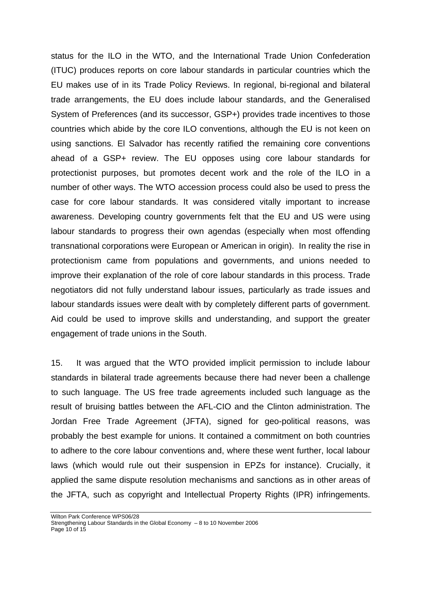status for the ILO in the WTO, and the International Trade Union Confederation (ITUC) produces reports on core labour standards in particular countries which the EU makes use of in its Trade Policy Reviews. In regional, bi-regional and bilateral trade arrangements, the EU does include labour standards, and the Generalised System of Preferences (and its successor, GSP+) provides trade incentives to those countries which abide by the core ILO conventions, although the EU is not keen on using sanctions. El Salvador has recently ratified the remaining core conventions ahead of a GSP+ review. The EU opposes using core labour standards for protectionist purposes, but promotes decent work and the role of the ILO in a number of other ways. The WTO accession process could also be used to press the case for core labour standards. It was considered vitally important to increase awareness. Developing country governments felt that the EU and US were using labour standards to progress their own agendas (especially when most offending transnational corporations were European or American in origin). In reality the rise in protectionism came from populations and governments, and unions needed to improve their explanation of the role of core labour standards in this process. Trade negotiators did not fully understand labour issues, particularly as trade issues and labour standards issues were dealt with by completely different parts of government. Aid could be used to improve skills and understanding, and support the greater engagement of trade unions in the South.

15. It was argued that the WTO provided implicit permission to include labour standards in bilateral trade agreements because there had never been a challenge to such language. The US free trade agreements included such language as the result of bruising battles between the AFL-CIO and the Clinton administration. The Jordan Free Trade Agreement (JFTA), signed for geo-political reasons, was probably the best example for unions. It contained a commitment on both countries to adhere to the core labour conventions and, where these went further, local labour laws (which would rule out their suspension in EPZs for instance). Crucially, it applied the same dispute resolution mechanisms and sanctions as in other areas of the JFTA, such as copyright and Intellectual Property Rights (IPR) infringements.

Strengthening Labour Standards in the Global Economy – 8 to 10 November 2006 Page 10 of 15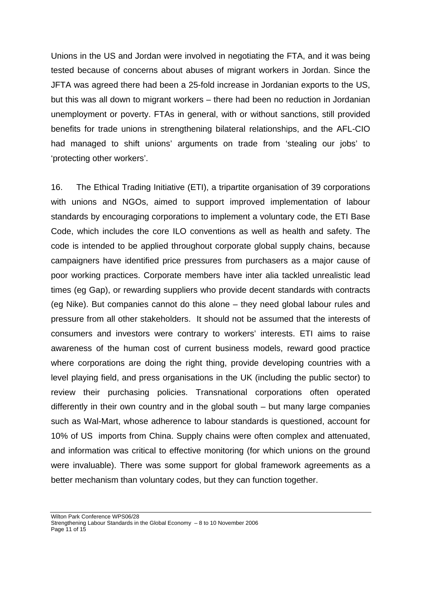Unions in the US and Jordan were involved in negotiating the FTA, and it was being tested because of concerns about abuses of migrant workers in Jordan. Since the JFTA was agreed there had been a 25-fold increase in Jordanian exports to the US, but this was all down to migrant workers – there had been no reduction in Jordanian unemployment or poverty. FTAs in general, with or without sanctions, still provided benefits for trade unions in strengthening bilateral relationships, and the AFL-CIO had managed to shift unions' arguments on trade from 'stealing our jobs' to 'protecting other workers'.

16. The Ethical Trading Initiative (ETI), a tripartite organisation of 39 corporations with unions and NGOs, aimed to support improved implementation of labour standards by encouraging corporations to implement a voluntary code, the ETI Base Code, which includes the core ILO conventions as well as health and safety. The code is intended to be applied throughout corporate global supply chains, because campaigners have identified price pressures from purchasers as a major cause of poor working practices. Corporate members have inter alia tackled unrealistic lead times (eg Gap), or rewarding suppliers who provide decent standards with contracts (eg Nike). But companies cannot do this alone – they need global labour rules and pressure from all other stakeholders. It should not be assumed that the interests of consumers and investors were contrary to workers' interests. ETI aims to raise awareness of the human cost of current business models, reward good practice where corporations are doing the right thing, provide developing countries with a level playing field, and press organisations in the UK (including the public sector) to review their purchasing policies. Transnational corporations often operated differently in their own country and in the global south – but many large companies such as Wal-Mart, whose adherence to labour standards is questioned, account for 10% of US imports from China. Supply chains were often complex and attenuated, and information was critical to effective monitoring (for which unions on the ground were invaluable). There was some support for global framework agreements as a better mechanism than voluntary codes, but they can function together.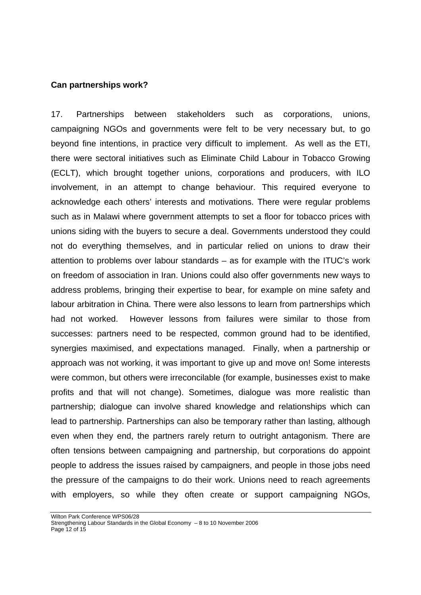#### **Can partnerships work?**

17. Partnerships between stakeholders such as corporations, unions, campaigning NGOs and governments were felt to be very necessary but, to go beyond fine intentions, in practice very difficult to implement. As well as the ETI, there were sectoral initiatives such as Eliminate Child Labour in Tobacco Growing (ECLT), which brought together unions, corporations and producers, with ILO involvement, in an attempt to change behaviour. This required everyone to acknowledge each others' interests and motivations. There were regular problems such as in Malawi where government attempts to set a floor for tobacco prices with unions siding with the buyers to secure a deal. Governments understood they could not do everything themselves, and in particular relied on unions to draw their attention to problems over labour standards – as for example with the ITUC's work on freedom of association in Iran. Unions could also offer governments new ways to address problems, bringing their expertise to bear, for example on mine safety and labour arbitration in China. There were also lessons to learn from partnerships which had not worked. However lessons from failures were similar to those from successes: partners need to be respected, common ground had to be identified, synergies maximised, and expectations managed. Finally, when a partnership or approach was not working, it was important to give up and move on! Some interests were common, but others were irreconcilable (for example, businesses exist to make profits and that will not change). Sometimes, dialogue was more realistic than partnership; dialogue can involve shared knowledge and relationships which can lead to partnership. Partnerships can also be temporary rather than lasting, although even when they end, the partners rarely return to outright antagonism. There are often tensions between campaigning and partnership, but corporations do appoint people to address the issues raised by campaigners, and people in those jobs need the pressure of the campaigns to do their work. Unions need to reach agreements with employers, so while they often create or support campaigning NGOs,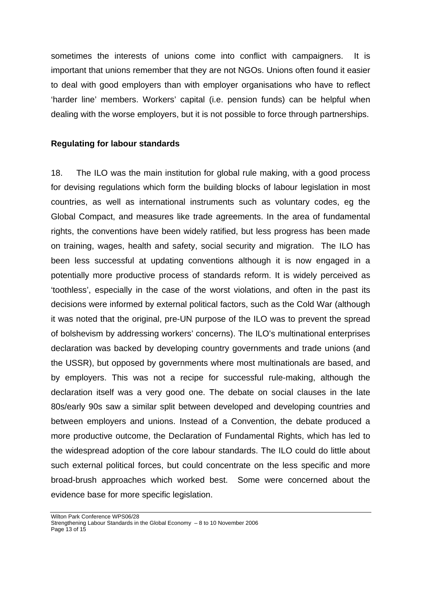sometimes the interests of unions come into conflict with campaigners. It is important that unions remember that they are not NGOs. Unions often found it easier to deal with good employers than with employer organisations who have to reflect 'harder line' members. Workers' capital (i.e. pension funds) can be helpful when dealing with the worse employers, but it is not possible to force through partnerships.

#### **Regulating for labour standards**

18. The ILO was the main institution for global rule making, with a good process for devising regulations which form the building blocks of labour legislation in most countries, as well as international instruments such as voluntary codes, eg the Global Compact, and measures like trade agreements. In the area of fundamental rights, the conventions have been widely ratified, but less progress has been made on training, wages, health and safety, social security and migration. The ILO has been less successful at updating conventions although it is now engaged in a potentially more productive process of standards reform. It is widely perceived as 'toothless', especially in the case of the worst violations, and often in the past its decisions were informed by external political factors, such as the Cold War (although it was noted that the original, pre-UN purpose of the ILO was to prevent the spread of bolshevism by addressing workers' concerns). The ILO's multinational enterprises declaration was backed by developing country governments and trade unions (and the USSR), but opposed by governments where most multinationals are based, and by employers. This was not a recipe for successful rule-making, although the declaration itself was a very good one. The debate on social clauses in the late 80s/early 90s saw a similar split between developed and developing countries and between employers and unions. Instead of a Convention, the debate produced a more productive outcome, the Declaration of Fundamental Rights, which has led to the widespread adoption of the core labour standards. The ILO could do little about such external political forces, but could concentrate on the less specific and more broad-brush approaches which worked best. Some were concerned about the evidence base for more specific legislation.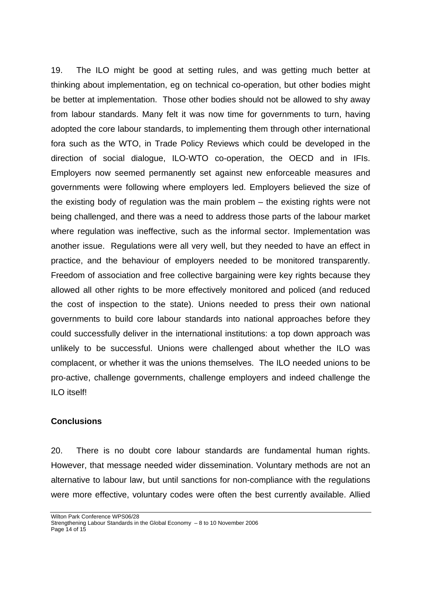19. The ILO might be good at setting rules, and was getting much better at thinking about implementation, eg on technical co-operation, but other bodies might be better at implementation. Those other bodies should not be allowed to shy away from labour standards. Many felt it was now time for governments to turn, having adopted the core labour standards, to implementing them through other international fora such as the WTO, in Trade Policy Reviews which could be developed in the direction of social dialogue, ILO-WTO co-operation, the OECD and in IFIs. Employers now seemed permanently set against new enforceable measures and governments were following where employers led. Employers believed the size of the existing body of regulation was the main problem – the existing rights were not being challenged, and there was a need to address those parts of the labour market where regulation was ineffective, such as the informal sector. Implementation was another issue. Regulations were all very well, but they needed to have an effect in practice, and the behaviour of employers needed to be monitored transparently. Freedom of association and free collective bargaining were key rights because they allowed all other rights to be more effectively monitored and policed (and reduced the cost of inspection to the state). Unions needed to press their own national governments to build core labour standards into national approaches before they could successfully deliver in the international institutions: a top down approach was unlikely to be successful. Unions were challenged about whether the ILO was complacent, or whether it was the unions themselves. The ILO needed unions to be pro-active, challenge governments, challenge employers and indeed challenge the ILO itself!

#### **Conclusions**

20. There is no doubt core labour standards are fundamental human rights. However, that message needed wider dissemination. Voluntary methods are not an alternative to labour law, but until sanctions for non-compliance with the regulations were more effective, voluntary codes were often the best currently available. Allied